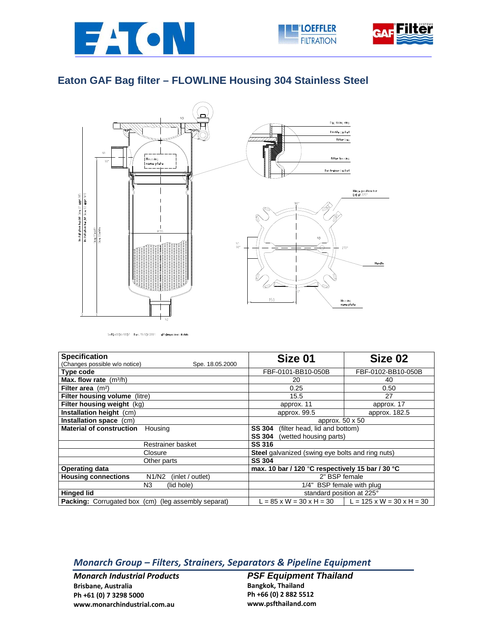





## **Eaton GAF Bag filter – FLOWLINE Housing 304 Stainless Steel**



S-FL-0036/0037 Rev. 19/03/2001 all dimensions in mm

| <b>Specification</b>                                          | Size 01                                                 | Size 02                                                                    |  |
|---------------------------------------------------------------|---------------------------------------------------------|----------------------------------------------------------------------------|--|
| (Changes possible w/o notice)<br>Spe. 18.05.2000              |                                                         |                                                                            |  |
| Type code                                                     | FBF-0101-BB10-050B                                      | FBF-0102-BB10-050B                                                         |  |
| Max. flow rate $(m^3/h)$                                      | 20                                                      | 40                                                                         |  |
| Filter area $(m2)$                                            | 0.25                                                    | 0.50                                                                       |  |
| Filter housing volume (litre)                                 | 15.5                                                    | 27                                                                         |  |
| Filter housing weight (kg)                                    | approx. 11                                              | approx. 17                                                                 |  |
| Installation height (cm)                                      | approx. 99.5                                            | approx. 182.5                                                              |  |
| Installation space (cm)                                       | approx. 50 x 50                                         |                                                                            |  |
| <b>Material of construction</b><br>Housing                    | <b>SS 304</b><br>(filter head, lid and bottom)          |                                                                            |  |
|                                                               | (wetted housing parts)<br><b>SS 304</b>                 |                                                                            |  |
| Restrainer basket                                             | <b>SS 316</b>                                           |                                                                            |  |
| Closure                                                       | <b>Steel</b> galvanized (swing eye bolts and ring nuts) |                                                                            |  |
| Other parts                                                   | <b>SS 304</b>                                           |                                                                            |  |
| <b>Operating data</b>                                         | max. 10 bar / 120 °C respectively 15 bar / 30 °C        |                                                                            |  |
| <b>Housing connections</b><br>N1/N2<br>(inlet / outlet)       | 2" BSP female                                           |                                                                            |  |
| N3<br>(lid hole)                                              | 1/4" BSP female with plug                               |                                                                            |  |
| <b>Hinged lid</b>                                             | standard position at 225°                               |                                                                            |  |
| <b>Packing:</b> Corrugated box (cm)<br>(leg assembly separat) |                                                         | $L = 85 \times W = 30 \times H = 30$ $L = 125 \times W = 30 \times H = 30$ |  |

## *Monarch Group – Filters, Strainers, Separators & Pipeline Equipment*

*Monarch Industrial Products* **Brisbane, Australia Ph +61 (0) 7 3298 5000 www.monarchindustrial.com.au**

**PSF Equipment Thailand Bangkok, Thailand Ph +66 (0) 2 882 5512 www.psfthailand.com**